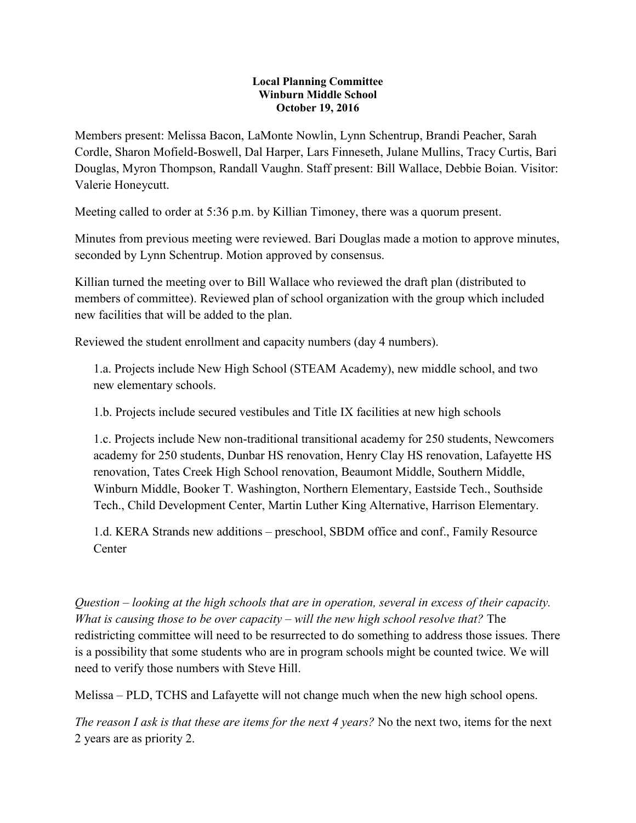## **Local Planning Committee Winburn Middle School October 19, 2016**

Members present: Melissa Bacon, LaMonte Nowlin, Lynn Schentrup, Brandi Peacher, Sarah Cordle, Sharon Mofield-Boswell, Dal Harper, Lars Finneseth, Julane Mullins, Tracy Curtis, Bari Douglas, Myron Thompson, Randall Vaughn. Staff present: Bill Wallace, Debbie Boian. Visitor: Valerie Honeycutt.

Meeting called to order at 5:36 p.m. by Killian Timoney, there was a quorum present.

Minutes from previous meeting were reviewed. Bari Douglas made a motion to approve minutes, seconded by Lynn Schentrup. Motion approved by consensus.

Killian turned the meeting over to Bill Wallace who reviewed the draft plan (distributed to members of committee). Reviewed plan of school organization with the group which included new facilities that will be added to the plan.

Reviewed the student enrollment and capacity numbers (day 4 numbers).

1.a. Projects include New High School (STEAM Academy), new middle school, and two new elementary schools.

1.b. Projects include secured vestibules and Title IX facilities at new high schools

1.c. Projects include New non-traditional transitional academy for 250 students, Newcomers academy for 250 students, Dunbar HS renovation, Henry Clay HS renovation, Lafayette HS renovation, Tates Creek High School renovation, Beaumont Middle, Southern Middle, Winburn Middle, Booker T. Washington, Northern Elementary, Eastside Tech., Southside Tech., Child Development Center, Martin Luther King Alternative, Harrison Elementary.

1.d. KERA Strands new additions – preschool, SBDM office and conf., Family Resource **Center** 

*Question – looking at the high schools that are in operation, several in excess of their capacity. What is causing those to be over capacity – will the new high school resolve that?* The redistricting committee will need to be resurrected to do something to address those issues. There is a possibility that some students who are in program schools might be counted twice. We will need to verify those numbers with Steve Hill.

Melissa – PLD, TCHS and Lafayette will not change much when the new high school opens.

*The reason I ask is that these are items for the next 4 years?* No the next two, items for the next 2 years are as priority 2.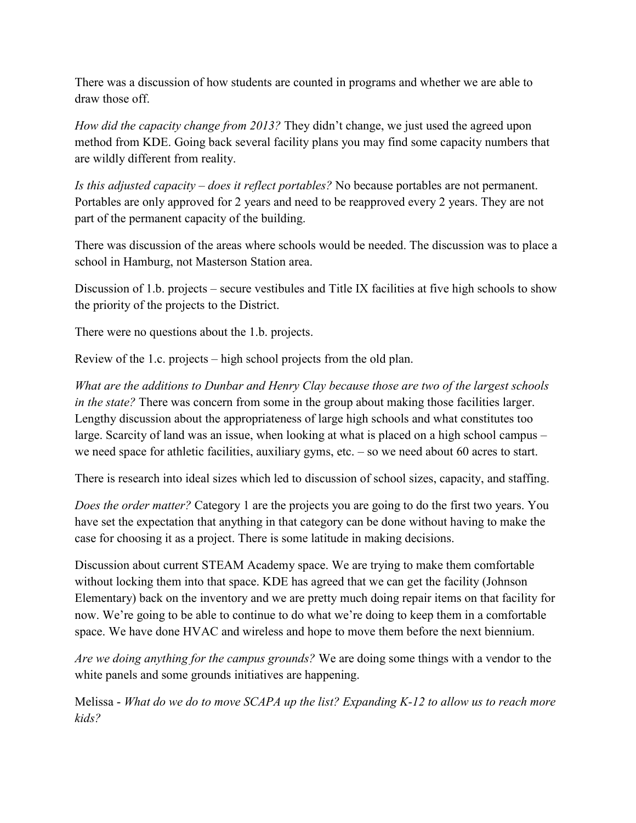There was a discussion of how students are counted in programs and whether we are able to draw those off.

*How did the capacity change from 2013?* They didn't change, we just used the agreed upon method from KDE. Going back several facility plans you may find some capacity numbers that are wildly different from reality.

*Is this adjusted capacity – does it reflect portables?* No because portables are not permanent. Portables are only approved for 2 years and need to be reapproved every 2 years. They are not part of the permanent capacity of the building.

There was discussion of the areas where schools would be needed. The discussion was to place a school in Hamburg, not Masterson Station area.

Discussion of 1.b. projects – secure vestibules and Title IX facilities at five high schools to show the priority of the projects to the District.

There were no questions about the 1.b. projects.

Review of the 1.c. projects – high school projects from the old plan.

*What are the additions to Dunbar and Henry Clay because those are two of the largest schools in the state?* There was concern from some in the group about making those facilities larger. Lengthy discussion about the appropriateness of large high schools and what constitutes too large. Scarcity of land was an issue, when looking at what is placed on a high school campus – we need space for athletic facilities, auxiliary gyms, etc. – so we need about 60 acres to start.

There is research into ideal sizes which led to discussion of school sizes, capacity, and staffing.

*Does the order matter?* Category 1 are the projects you are going to do the first two years. You have set the expectation that anything in that category can be done without having to make the case for choosing it as a project. There is some latitude in making decisions.

Discussion about current STEAM Academy space. We are trying to make them comfortable without locking them into that space. KDE has agreed that we can get the facility (Johnson Elementary) back on the inventory and we are pretty much doing repair items on that facility for now. We're going to be able to continue to do what we're doing to keep them in a comfortable space. We have done HVAC and wireless and hope to move them before the next biennium.

*Are we doing anything for the campus grounds?* We are doing some things with a vendor to the white panels and some grounds initiatives are happening.

Melissa - *What do we do to move SCAPA up the list? Expanding K-12 to allow us to reach more kids?*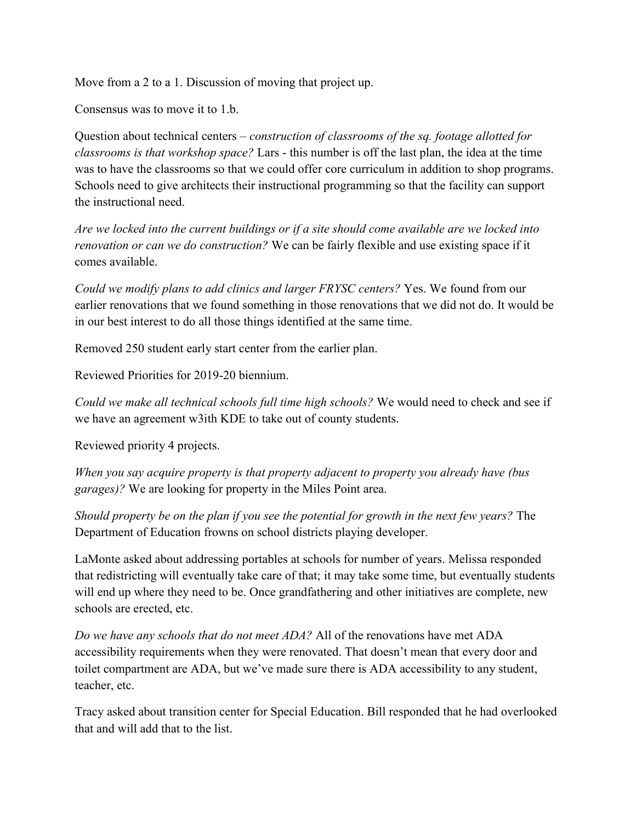Move from a 2 to a 1. Discussion of moving that project up.

Consensus was to move it to 1.b.

Question about technical centers – *construction of classrooms of the sq. footage allotted for classrooms is that workshop space?* Lars - this number is off the last plan, the idea at the time was to have the classrooms so that we could offer core curriculum in addition to shop programs. Schools need to give architects their instructional programming so that the facility can support the instructional need.

*Are we locked into the current buildings or if a site should come available are we locked into renovation or can we do construction?* We can be fairly flexible and use existing space if it comes available.

*Could we modify plans to add clinics and larger FRYSC centers?* Yes. We found from our earlier renovations that we found something in those renovations that we did not do. It would be in our best interest to do all those things identified at the same time.

Removed 250 student early start center from the earlier plan.

Reviewed Priorities for 2019-20 biennium.

*Could we make all technical schools full time high schools?* We would need to check and see if we have an agreement w3ith KDE to take out of county students.

Reviewed priority 4 projects.

*When you say acquire property is that property adjacent to property you already have (bus garages)?* We are looking for property in the Miles Point area.

*Should property be on the plan if you see the potential for growth in the next few years?* The Department of Education frowns on school districts playing developer.

LaMonte asked about addressing portables at schools for number of years. Melissa responded that redistricting will eventually take care of that; it may take some time, but eventually students will end up where they need to be. Once grandfathering and other initiatives are complete, new schools are erected, etc.

*Do we have any schools that do not meet ADA?* All of the renovations have met ADA accessibility requirements when they were renovated. That doesn't mean that every door and toilet compartment are ADA, but we've made sure there is ADA accessibility to any student, teacher, etc.

Tracy asked about transition center for Special Education. Bill responded that he had overlooked that and will add that to the list.